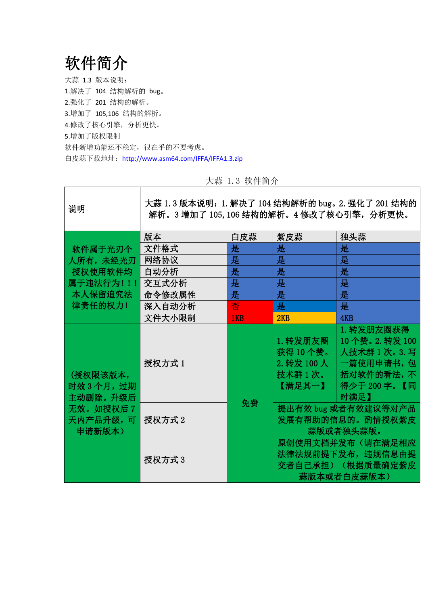软件简介

 $\sqrt{ }$ 

大蒜 1.3 版本说明: 1.解决了 104 结构解析的 bug。 2.强化了 201 结构的解析。 3.增加了 105,106 结构的解析。 4.修改了核心引擎,分析更快。 5.增加了版权限制 软件新增功能还不稳定,很在乎的不要考虑。 白皮蒜下载地址:http://www.asm64.com/IFFA/IFFA1.3.zip

 $\overline{\phantom{a}}$ 

| 说明                                                                     | 大蒜 1.3 版本说明: 1. 解决了 104 结构解析的 bug。 2. 强化了 201 结构的<br>解析。3 增加了 105, 106 结构的解析。4 修改了核心引擎, 分析更快。 |     |                                                         |                                                                                                |
|------------------------------------------------------------------------|-----------------------------------------------------------------------------------------------|-----|---------------------------------------------------------|------------------------------------------------------------------------------------------------|
|                                                                        | 版本                                                                                            | 白皮蒜 | 紫皮蒜                                                     | 独头蒜                                                                                            |
| 软件属于光刃个                                                                | 文件格式                                                                                          | 是   | 是                                                       | 是                                                                                              |
| 人所有, 未经光刃                                                              | 网络协议                                                                                          | 是   | 是                                                       | 是                                                                                              |
| 授权使用软件均                                                                | 自动分析                                                                                          | 是   | 是                                                       | 是                                                                                              |
| 属于违法行为!!                                                               | 交互式分析                                                                                         | 是   | 是                                                       | 是                                                                                              |
| 本人保留追究法                                                                | 命令修改属性                                                                                        | 是   | 是                                                       | 是                                                                                              |
| 律责任的权力!                                                                | 深入自动分析                                                                                        | 否   | 是                                                       | 是                                                                                              |
|                                                                        | 文件大小限制                                                                                        | 1KB | 2KB                                                     | 4KB                                                                                            |
| (授权限该版本,<br>时效 3 个月, 过期<br>主动删除。升级后<br>无效。如授权后 7<br>天内产品升级,可<br>申请新版本) | 授权方式 1                                                                                        | 免费  | 1. 转发朋友圈<br>获得10个赞。<br>$2.$ 转发 100人<br>技术群1次。<br>【满足其一】 | 1. 转发朋友圈获得<br>10个赞。2. 转发 100<br>人技术群 1 次。3. 写<br>一篇使用申请书,包<br>括对软件的看法,不<br>得少于 200字。【同<br>时满足】 |
|                                                                        | 授权方式 2                                                                                        |     | 提出有效 bug 或者有效建议等对产品<br>发展有帮助的信息的。酌情授权紫皮<br>蒜版或者独头蒜版。    |                                                                                                |
|                                                                        | 授权方式3                                                                                         |     |                                                         | 原创使用文档并发布(请在满足相应<br>法律法规前提下发布, 违规信息由提<br>交者自己承担)(根据质量确定紫皮<br>蒜版本或者白皮蒜版本)                       |

## 大蒜 1.3 软件简介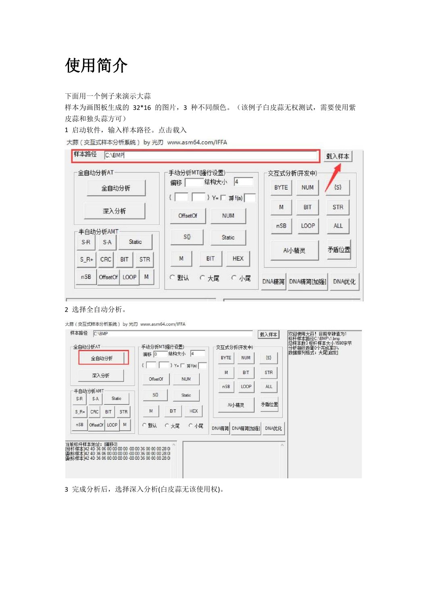## 使用简介

下面用一个例子来演示大蒜

样本为画图板生成的 32\*16 的图片,3 种不同颜色。(该例子白皮蒜无权测试,需要使用紫 皮蒜和独头蒜方可)

1 启动软件,输入样本路径。点击载入

大蒜(交互式样本分析系统) by 光刃 www.asm64.com/IFFA

| 全自动分析AT  |          |                                  |            | 手动分析MTG虽行设置)    |                          | 交互式分析(开发中) |            |            |
|----------|----------|----------------------------------|------------|-----------------|--------------------------|------------|------------|------------|
| 全自动分析    |          | 4<br>结构大小<br>偏移<br>} Y= 厂 洞 f(a) |            | <b>BYTE</b>     | <b>NUM</b>               | $\{S\}$    |            |            |
|          | 深入分析     |                                  |            | <b>OffsetOf</b> | <b>NUM</b>               | M          | <b>BIT</b> | <b>STR</b> |
| 半自动分析AMT |          |                                  |            |                 |                          | nSB        | LOOP       | ALL        |
| $S-R$    | $S-A$    |                                  | Static     | $S_{0}^{n}$     | Static                   |            | Al小精灵      | 矛盾位置       |
| $S_R+$   | CRC      | BIT                              | <b>STR</b> | M               | <b>HEX</b><br><b>BIT</b> |            |            |            |
| nSB      | OffsetOf | LOOP                             | M          | C 默认            | ○大尾<br>C 小尾              | DNA精简      | DNA精简[t]   | DNA优化      |

## 2 选择全自动分析。

大蒜 (交互式样本分析系统) by 光刃 www.asm64.com/IFFA



3 完成分析后,选择深入分析(白皮蒜无该使用权)。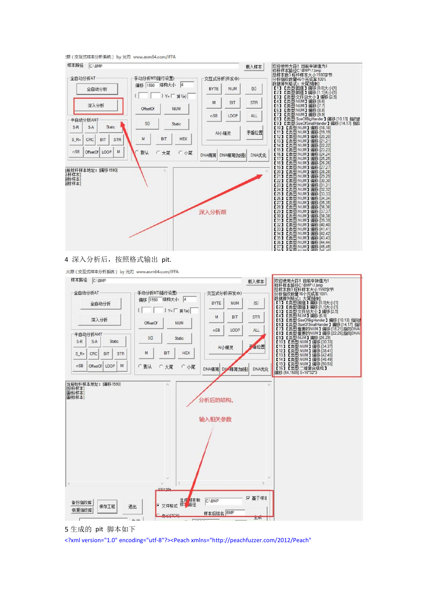:蒜 (交互式样本分析系统) by 光刃 www.asm64.com/IFFA



大蒜(交互式样本分析系统) by 光刃 www.asm64.com/IFFA



<sup>5</sup> 生成的 pit 脚本如下

<?xml version="1.0" encoding="utf-8"?><Peach xmlns="http://peachfuzzer.com/2012/Peach"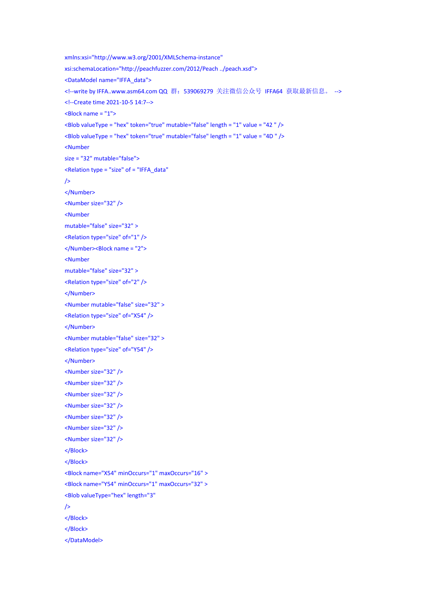```
xmlns:xsi="http://www.w3.org/2001/XMLSchema-instance" xsi:schemaLocation="http://peachfuzzer.com/2012/Peach ../peach.xsd">
<DataModel name="IFFA_data">
<!--write by IFFA..www.asm64.com QQ 群: 539069279 关注微信公众号 IFFA64 获取最新信息。 -->
<!--Create time 2021-10-5 14:7-->
<Block name = "1">
<Blob valueType = "hex" token="true" mutable="false" length = "1" value = "42 " />
<Blob valueType = "hex" token="true" mutable="false" length = "1" value = "4D " />
<Number size = "32" mutable="false">
<Relation type = "size" of = "IFFA_data"
/>
</Number>
<Number size="32" />
<Number mutable="false" size="32" >
<Relation type="size" of="1" />
</Number><Block name = "2">
<Number mutable="false" size="32" >
<Relation type="size" of="2" />
</Number>
<Number mutable="false" size="32" >
<Relation type="size" of="X54" />
</Number>
<Number mutable="false" size="32" >
<Relation type="size" of="Y54" />
</Number>
<Number size="32" />
<Number size="32" />
<Number size="32" />
<Number size="32" />
<Number size="32" />
<Number size="32" />
<Number size="32" />
</Block>
</Block>
<Block name="X54" minOccurs="1" maxOccurs="16" >
<Block name="Y54" minOccurs="1" maxOccurs="32" >
<Blob valueType="hex" length="3"
/>
</Block>
</Block>
</DataModel>
```